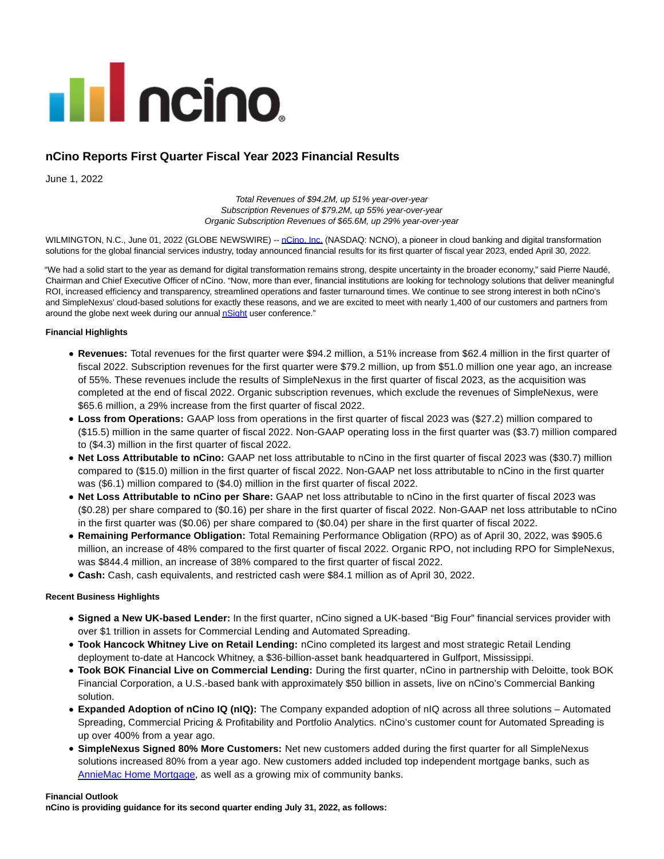

# **nCino Reports First Quarter Fiscal Year 2023 Financial Results**

June 1, 2022

Total Revenues of \$94.2M, up 51% year-over-year Subscription Revenues of \$79.2M, up 55% year-over-year Organic Subscription Revenues of \$65.6M, up 29% year-over-year

WILMINGTON, N.C., June 01, 2022 (GLOBE NEWSWIRE) -- [nCino, Inc. \(](https://www.globenewswire.com/Tracker?data=AKQCVbjdhf48kBpvCwbcDv27ioAcMc-kv4PE-1cUNvXz4pb2xVZk2EBFV3-mvy4mHatCjcjYRgzQCBDCrzrEJQ==)NASDAQ: NCNO), a pioneer in cloud banking and digital transformation solutions for the global financial services industry, today announced financial results for its first quarter of fiscal year 2023, ended April 30, 2022.

"We had a solid start to the year as demand for digital transformation remains strong, despite uncertainty in the broader economy," said Pierre Naudé, Chairman and Chief Executive Officer of nCino. "Now, more than ever, financial institutions are looking for technology solutions that deliver meaningful ROI, increased efficiency and transparency, streamlined operations and faster turnaround times. We continue to see strong interest in both nCino's and SimpleNexus' cloud-based solutions for exactly these reasons, and we are excited to meet with nearly 1,400 of our customers and partners from around the globe next week during our annual **nSight** user conference."

### **Financial Highlights**

- **Revenues:** Total revenues for the first quarter were \$94.2 million, a 51% increase from \$62.4 million in the first quarter of fiscal 2022. Subscription revenues for the first quarter were \$79.2 million, up from \$51.0 million one year ago, an increase of 55%. These revenues include the results of SimpleNexus in the first quarter of fiscal 2023, as the acquisition was completed at the end of fiscal 2022. Organic subscription revenues, which exclude the revenues of SimpleNexus, were \$65.6 million, a 29% increase from the first quarter of fiscal 2022.
- **Loss from Operations:** GAAP loss from operations in the first quarter of fiscal 2023 was (\$27.2) million compared to (\$15.5) million in the same quarter of fiscal 2022. Non-GAAP operating loss in the first quarter was (\$3.7) million compared to (\$4.3) million in the first quarter of fiscal 2022.
- **Net Loss Attributable to nCino:** GAAP net loss attributable to nCino in the first quarter of fiscal 2023 was (\$30.7) million compared to (\$15.0) million in the first quarter of fiscal 2022. Non-GAAP net loss attributable to nCino in the first quarter was (\$6.1) million compared to (\$4.0) million in the first quarter of fiscal 2022.
- **Net Loss Attributable to nCino per Share:** GAAP net loss attributable to nCino in the first quarter of fiscal 2023 was (\$0.28) per share compared to (\$0.16) per share in the first quarter of fiscal 2022. Non-GAAP net loss attributable to nCino in the first quarter was (\$0.06) per share compared to (\$0.04) per share in the first quarter of fiscal 2022.
- **Remaining Performance Obligation:** Total Remaining Performance Obligation (RPO) as of April 30, 2022, was \$905.6 million, an increase of 48% compared to the first quarter of fiscal 2022. Organic RPO, not including RPO for SimpleNexus, was \$844.4 million, an increase of 38% compared to the first quarter of fiscal 2022.
- **Cash:** Cash, cash equivalents, and restricted cash were \$84.1 million as of April 30, 2022.

### **Recent Business Highlights**

- **Signed a New UK-based Lender:** In the first quarter, nCino signed a UK-based "Big Four" financial services provider with over \$1 trillion in assets for Commercial Lending and Automated Spreading.
- **Took Hancock Whitney Live on Retail Lending:** nCino completed its largest and most strategic Retail Lending deployment to-date at Hancock Whitney, a \$36-billion-asset bank headquartered in Gulfport, Mississippi.
- **Took BOK Financial Live on Commercial Lending:** During the first quarter, nCino in partnership with Deloitte, took BOK Financial Corporation, a U.S.-based bank with approximately \$50 billion in assets, live on nCino's Commercial Banking solution.
- **Expanded Adoption of nCino IQ (nIQ):** The Company expanded adoption of nIQ across all three solutions Automated Spreading, Commercial Pricing & Profitability and Portfolio Analytics. nCino's customer count for Automated Spreading is up over 400% from a year ago.
- **SimpleNexus Signed 80% More Customers:** Net new customers added during the first quarter for all SimpleNexus solutions increased 80% from a year ago. New customers added included top independent mortgage banks, such as [AnnieMac Home Mortgage,](https://www.globenewswire.com/news-release/2022/05/25/2450175/0/en/AnnieMac-Equips-Loan-Teams-Nationwide-with-Powerful-Mobile-Mortgage-Toolset-from-SimpleNexus.html) as well as a growing mix of community banks.

#### **Financial Outlook**

**nCino is providing guidance for its second quarter ending July 31, 2022, as follows:**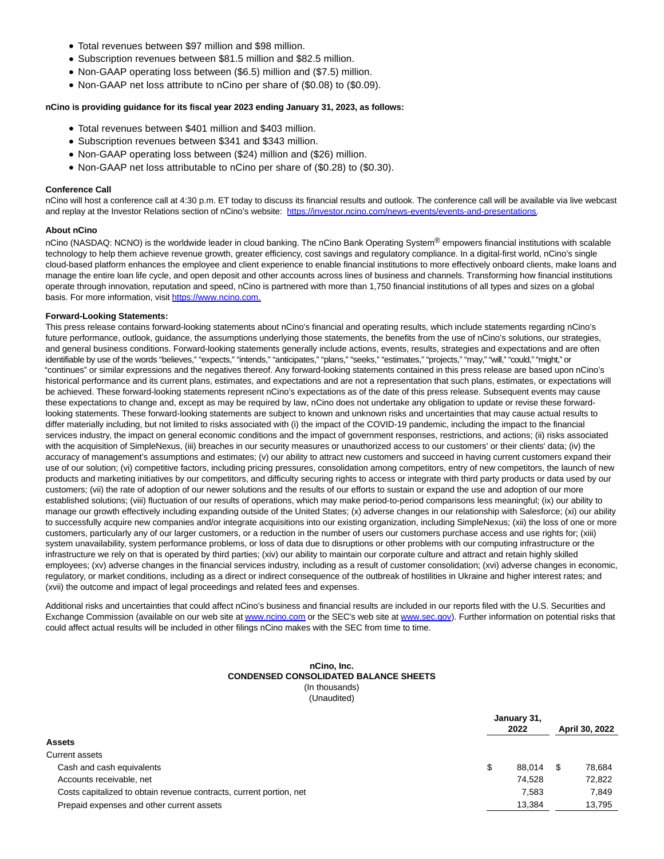- Total revenues between \$97 million and \$98 million.
- Subscription revenues between \$81.5 million and \$82.5 million.
- Non-GAAP operating loss between (\$6.5) million and (\$7.5) million.
- Non-GAAP net loss attribute to nCino per share of (\$0.08) to (\$0.09).

### **nCino is providing guidance for its fiscal year 2023 ending January 31, 2023, as follows:**

- Total revenues between \$401 million and \$403 million.
- Subscription revenues between \$341 and \$343 million.
- Non-GAAP operating loss between (\$24) million and (\$26) million.
- Non-GAAP net loss attributable to nCino per share of (\$0.28) to (\$0.30).

#### **Conference Call**

nCino will host a conference call at 4:30 p.m. ET today to discuss its financial results and outlook. The conference call will be available via live webcast and replay at the Investor Relations section of nCino's website: [https://investor.ncino.com/news-events/events-and-presentations.](https://www.globenewswire.com/Tracker?data=RaubuDWmJgaNpPNNenjb_EE26mDXgQz87nSjXfD9Sfi4vrw7v0CdRUmXBi10kvX_VRo0Xw_KyAKDIG5VSeh2JQTtTY9APGiFhSMTfSRnWjqHkLjMJSNu-HmJgEAZGn_wO-cexfvMYpPbwCpnBCcOjoZEyGTGV8fN7SDbB_VJ7TXo7Pc2poiaftttc7BOpy70Q9zt_9CfgOqH8YzwxyFKdg==)

#### **About nCino**

nCino (NASDAQ: NCNO) is the worldwide leader in cloud banking. The nCino Bank Operating System<sup>®</sup> empowers financial institutions with scalable technology to help them achieve revenue growth, greater efficiency, cost savings and regulatory compliance. In a digital-first world, nCino's single cloud-based platform enhances the employee and client experience to enable financial institutions to more effectively onboard clients, make loans and manage the entire loan life cycle, and open deposit and other accounts across lines of business and channels. Transforming how financial institutions operate through innovation, reputation and speed, nCino is partnered with more than 1,750 financial institutions of all types and sizes on a global basis. For more information, visit [https://www.ncino.com.](https://www.globenewswire.com/Tracker?data=RaubuDWmJgaNpPNNenjb_MGA0D9lXgRRF1PrInkqXhpQz-tu5CkIXbKL0gEhsLmmQoMcYQ0bmjjHxo3sgc_Ax2H1dAU1imQJH7-my-YdNN0=)

#### **Forward-Looking Statements:**

This press release contains forward-looking statements about nCino's financial and operating results, which include statements regarding nCino's future performance, outlook, guidance, the assumptions underlying those statements, the benefits from the use of nCino's solutions, our strategies, and general business conditions. Forward-looking statements generally include actions, events, results, strategies and expectations and are often identifiable by use of the words "believes," "expects," "intends," "anticipates," "plans," "seeks," "estimates," "projects," "may," "will," "could," "might," or "continues" or similar expressions and the negatives thereof. Any forward-looking statements contained in this press release are based upon nCino's historical performance and its current plans, estimates, and expectations and are not a representation that such plans, estimates, or expectations will be achieved. These forward-looking statements represent nCino's expectations as of the date of this press release. Subsequent events may cause these expectations to change and, except as may be required by law, nCino does not undertake any obligation to update or revise these forwardlooking statements. These forward-looking statements are subject to known and unknown risks and uncertainties that may cause actual results to differ materially including, but not limited to risks associated with (i) the impact of the COVID-19 pandemic, including the impact to the financial services industry, the impact on general economic conditions and the impact of government responses, restrictions, and actions; (ii) risks associated with the acquisition of SimpleNexus, (iii) breaches in our security measures or unauthorized access to our customers' or their clients' data; (iv) the accuracy of management's assumptions and estimates; (v) our ability to attract new customers and succeed in having current customers expand their use of our solution; (vi) competitive factors, including pricing pressures, consolidation among competitors, entry of new competitors, the launch of new products and marketing initiatives by our competitors, and difficulty securing rights to access or integrate with third party products or data used by our customers; (vii) the rate of adoption of our newer solutions and the results of our efforts to sustain or expand the use and adoption of our more established solutions; (viii) fluctuation of our results of operations, which may make period-to-period comparisons less meaningful; (ix) our ability to manage our growth effectively including expanding outside of the United States; (x) adverse changes in our relationship with Salesforce; (xi) our ability to successfully acquire new companies and/or integrate acquisitions into our existing organization, including SimpleNexus; (xii) the loss of one or more customers, particularly any of our larger customers, or a reduction in the number of users our customers purchase access and use rights for; (xiii) system unavailability, system performance problems, or loss of data due to disruptions or other problems with our computing infrastructure or the infrastructure we rely on that is operated by third parties; (xiv) our ability to maintain our corporate culture and attract and retain highly skilled employees; (xv) adverse changes in the financial services industry, including as a result of customer consolidation; (xvi) adverse changes in economic, regulatory, or market conditions, including as a direct or indirect consequence of the outbreak of hostilities in Ukraine and higher interest rates; and (xvii) the outcome and impact of legal proceedings and related fees and expenses.

Additional risks and uncertainties that could affect nCino's business and financial results are included in our reports filed with the U.S. Securities and Exchange Commission (available on our web site a[t www.ncino.com o](https://www.globenewswire.com/Tracker?data=wocf9b7dubOs8JaGmhEPiL0_BVTQkkf7t0g3udcJbtHu-x23qkZxrN53xjVRb7nLVz1ZSX3UaWb2DvOtNoGFekzP5GMC2M04kzXtwQdggrg=)r the SEC's web site at [www.sec.gov\).](https://www.globenewswire.com/Tracker?data=RrniO0x0RlIdQt8sktO_DBjQR0zvzFom-DE43-x69bxVupng5NKmk8K-6wR9qTBgvu0R9NxbBjHao9b0-e-c6w==) Further information on potential risks that could affect actual results will be included in other filings nCino makes with the SEC from time to time.

#### **nCino, Inc. CONDENSED CONSOLIDATED BALANCE SHEETS** (In thousands) (Unaudited)

|                                                                     | January 31, |        |  |                |  |  |  |
|---------------------------------------------------------------------|-------------|--------|--|----------------|--|--|--|
|                                                                     |             | 2022   |  | April 30, 2022 |  |  |  |
| <b>Assets</b>                                                       |             |        |  |                |  |  |  |
| Current assets                                                      |             |        |  |                |  |  |  |
| Cash and cash equivalents                                           | \$          | 88.014 |  | 78,684         |  |  |  |
| Accounts receivable, net                                            |             | 74.528 |  | 72.822         |  |  |  |
| Costs capitalized to obtain revenue contracts, current portion, net |             | 7.583  |  | 7.849          |  |  |  |
| Prepaid expenses and other current assets                           |             | 13.384 |  | 13.795         |  |  |  |
|                                                                     |             |        |  |                |  |  |  |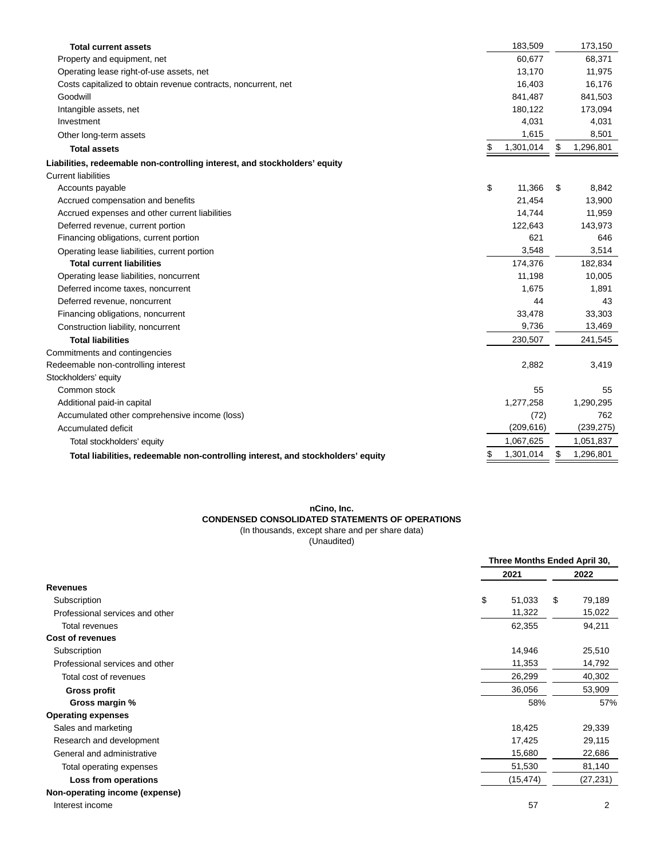| <b>Total current assets</b>                                                      |    | 183,509    | 173,150         |
|----------------------------------------------------------------------------------|----|------------|-----------------|
| Property and equipment, net                                                      |    | 60,677     | 68,371          |
| Operating lease right-of-use assets, net                                         |    | 13,170     | 11,975          |
| Costs capitalized to obtain revenue contracts, noncurrent, net                   |    | 16,403     | 16,176          |
| Goodwill                                                                         |    | 841,487    | 841,503         |
| Intangible assets, net                                                           |    | 180,122    | 173,094         |
| Investment                                                                       |    | 4,031      | 4,031           |
| Other long-term assets                                                           |    | 1,615      | 8,501           |
| <b>Total assets</b>                                                              | \$ | 1,301,014  | \$<br>1,296,801 |
| Liabilities, redeemable non-controlling interest, and stockholders' equity       |    |            |                 |
| <b>Current liabilities</b>                                                       |    |            |                 |
| Accounts payable                                                                 | \$ | 11.366     | \$<br>8,842     |
| Accrued compensation and benefits                                                |    | 21,454     | 13,900          |
| Accrued expenses and other current liabilities                                   |    | 14,744     | 11,959          |
| Deferred revenue, current portion                                                |    | 122,643    | 143,973         |
| Financing obligations, current portion                                           |    | 621        | 646             |
| Operating lease liabilities, current portion                                     |    | 3,548      | 3,514           |
| <b>Total current liabilities</b>                                                 |    | 174,376    | 182,834         |
| Operating lease liabilities, noncurrent                                          |    | 11,198     | 10,005          |
| Deferred income taxes, noncurrent                                                |    | 1,675      | 1,891           |
| Deferred revenue, noncurrent                                                     |    | 44         | 43              |
| Financing obligations, noncurrent                                                |    | 33,478     | 33,303          |
| Construction liability, noncurrent                                               |    | 9,736      | 13,469          |
| <b>Total liabilities</b>                                                         |    | 230,507    | 241,545         |
| Commitments and contingencies                                                    |    |            |                 |
| Redeemable non-controlling interest                                              |    | 2,882      | 3,419           |
| Stockholders' equity                                                             |    |            |                 |
| Common stock                                                                     |    | 55         | 55              |
| Additional paid-in capital                                                       |    | 1,277,258  | 1,290,295       |
| Accumulated other comprehensive income (loss)                                    |    | (72)       | 762             |
| Accumulated deficit                                                              |    | (209, 616) | (239, 275)      |
| Total stockholders' equity                                                       |    | 1,067,625  | 1,051,837       |
| Total liabilities, redeemable non-controlling interest, and stockholders' equity | S  | 1,301,014  | \$<br>1,296,801 |
|                                                                                  |    |            |                 |

#### **nCino, Inc. CONDENSED CONSOLIDATED STATEMENTS OF OPERATIONS** (In thousands, except share and per share data)

(Unaudited)

|                                 | Three Months Ended April 30, |                |  |
|---------------------------------|------------------------------|----------------|--|
|                                 | 2021                         | 2022           |  |
| <b>Revenues</b>                 |                              |                |  |
| Subscription                    | \$<br>51,033<br>\$           | 79,189         |  |
| Professional services and other | 11,322                       | 15,022         |  |
| Total revenues                  | 62,355                       | 94,211         |  |
| <b>Cost of revenues</b>         |                              |                |  |
| Subscription                    | 14,946                       | 25,510         |  |
| Professional services and other | 11,353                       | 14,792         |  |
| Total cost of revenues          | 26,299                       | 40,302         |  |
| <b>Gross profit</b>             | 36,056                       | 53,909         |  |
| Gross margin %                  | 58%                          | 57%            |  |
| <b>Operating expenses</b>       |                              |                |  |
| Sales and marketing             | 18,425                       | 29,339         |  |
| Research and development        | 17,425                       | 29,115         |  |
| General and administrative      | 15,680                       | 22,686         |  |
| Total operating expenses        | 51,530                       | 81,140         |  |
| Loss from operations            | (15, 474)                    | (27, 231)      |  |
| Non-operating income (expense)  |                              |                |  |
| Interest income                 | 57                           | $\overline{2}$ |  |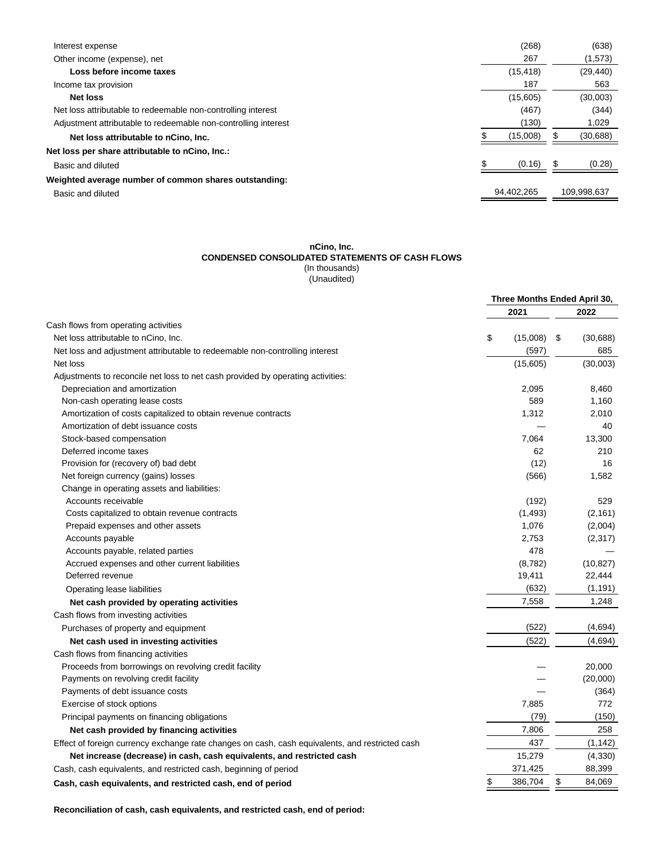| Interest expense                                               | (268)      |    | (638)       |
|----------------------------------------------------------------|------------|----|-------------|
| Other income (expense), net                                    | 267        |    | (1,573)     |
| Loss before income taxes                                       | (15, 418)  |    | (29, 440)   |
| Income tax provision                                           | 187        |    | 563         |
| <b>Net loss</b>                                                | (15,605)   |    | (30,003)    |
| Net loss attributable to redeemable non-controlling interest   | (467)      |    | (344)       |
| Adjustment attributable to redeemable non-controlling interest | (130)      |    | 1,029       |
| Net loss attributable to nCino, Inc.                           | (15,008)   |    | (30, 688)   |
| Net loss per share attributable to nCino, Inc.:                |            |    |             |
| Basic and diluted                                              | (0.16)     | 55 | (0.28)      |
| Weighted average number of common shares outstanding:          |            |    |             |
| Basic and diluted                                              | 94,402,265 |    | 109,998,637 |
|                                                                |            |    |             |

#### **nCino, Inc.**

#### **CONDENSED CONSOLIDATED STATEMENTS OF CASH FLOWS**

(In thousands)

(Unaudited)

|                                                                                                 | Three Months Ended April 30, |          |    |           |
|-------------------------------------------------------------------------------------------------|------------------------------|----------|----|-----------|
|                                                                                                 |                              | 2021     |    | 2022      |
| Cash flows from operating activities                                                            |                              |          |    |           |
| Net loss attributable to nCino, Inc.                                                            | \$                           | (15,008) | \$ | (30, 688) |
| Net loss and adjustment attributable to redeemable non-controlling interest                     |                              | (597)    |    | 685       |
| Net loss                                                                                        |                              | (15,605) |    | (30,003)  |
| Adjustments to reconcile net loss to net cash provided by operating activities:                 |                              |          |    |           |
| Depreciation and amortization                                                                   |                              | 2,095    |    | 8,460     |
| Non-cash operating lease costs                                                                  |                              | 589      |    | 1,160     |
| Amortization of costs capitalized to obtain revenue contracts                                   |                              | 1,312    |    | 2,010     |
| Amortization of debt issuance costs                                                             |                              |          |    | 40        |
| Stock-based compensation                                                                        |                              | 7,064    |    | 13,300    |
| Deferred income taxes                                                                           |                              | 62       |    | 210       |
| Provision for (recovery of) bad debt                                                            |                              | (12)     |    | 16        |
| Net foreign currency (gains) losses                                                             |                              | (566)    |    | 1,582     |
| Change in operating assets and liabilities:                                                     |                              |          |    |           |
| Accounts receivable                                                                             |                              | (192)    |    | 529       |
| Costs capitalized to obtain revenue contracts                                                   |                              | (1, 493) |    | (2, 161)  |
| Prepaid expenses and other assets                                                               |                              | 1,076    |    | (2,004)   |
| Accounts payable                                                                                |                              | 2,753    |    | (2,317)   |
| Accounts payable, related parties                                                               |                              | 478      |    |           |
| Accrued expenses and other current liabilities                                                  |                              | (8, 782) |    | (10, 827) |
| Deferred revenue                                                                                |                              | 19,411   |    | 22,444    |
| Operating lease liabilities                                                                     |                              | (632)    |    | (1, 191)  |
| Net cash provided by operating activities                                                       |                              | 7,558    |    | 1,248     |
| Cash flows from investing activities                                                            |                              |          |    |           |
| Purchases of property and equipment                                                             |                              | (522)    |    | (4,694)   |
| Net cash used in investing activities                                                           |                              | (522)    |    | (4,694)   |
| Cash flows from financing activities                                                            |                              |          |    |           |
| Proceeds from borrowings on revolving credit facility                                           |                              |          |    | 20,000    |
| Payments on revolving credit facility                                                           |                              |          |    | (20,000)  |
| Payments of debt issuance costs                                                                 |                              |          |    | (364)     |
| Exercise of stock options                                                                       |                              | 7,885    |    | 772       |
| Principal payments on financing obligations                                                     |                              | (79)     |    | (150)     |
| Net cash provided by financing activities                                                       |                              | 7,806    |    | 258       |
| Effect of foreign currency exchange rate changes on cash, cash equivalents, and restricted cash |                              | 437      |    | (1, 142)  |
| Net increase (decrease) in cash, cash equivalents, and restricted cash                          |                              | 15,279   |    | (4,330)   |
| Cash, cash equivalents, and restricted cash, beginning of period                                |                              | 371,425  |    | 88,399    |
| Cash, cash equivalents, and restricted cash, end of period                                      | \$                           | 386,704  | \$ | 84,069    |
|                                                                                                 |                              |          |    |           |

**Reconciliation of cash, cash equivalents, and restricted cash, end of period:**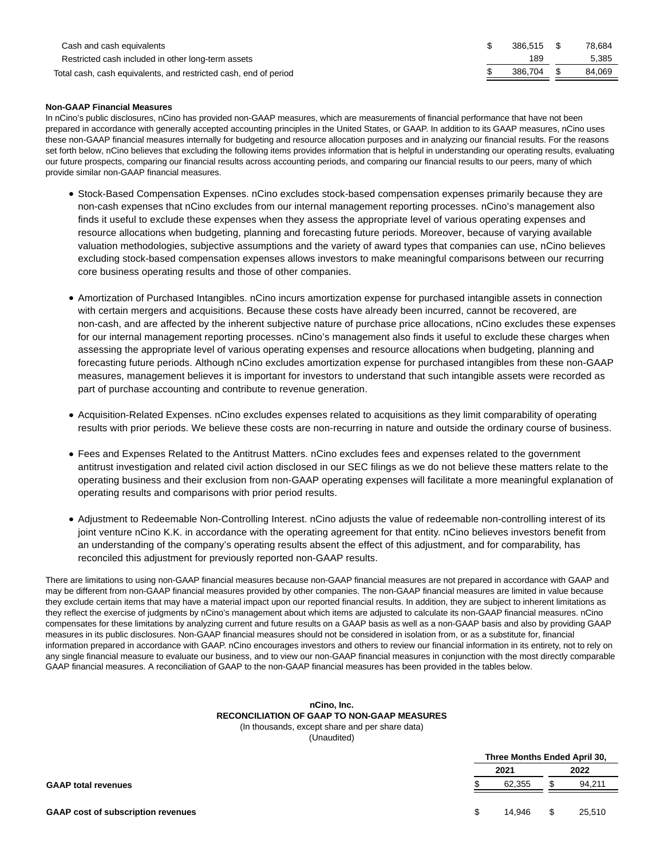| Cash and cash equivalents                                        | 386.515 | 78.684 |
|------------------------------------------------------------------|---------|--------|
| Restricted cash included in other long-term assets               | 189     | 5.385  |
| Total cash, cash equivalents, and restricted cash, end of period | 386.704 | 84.069 |

#### **Non-GAAP Financial Measures**

In nCino's public disclosures, nCino has provided non-GAAP measures, which are measurements of financial performance that have not been prepared in accordance with generally accepted accounting principles in the United States, or GAAP. In addition to its GAAP measures, nCino uses these non-GAAP financial measures internally for budgeting and resource allocation purposes and in analyzing our financial results. For the reasons set forth below, nCino believes that excluding the following items provides information that is helpful in understanding our operating results, evaluating our future prospects, comparing our financial results across accounting periods, and comparing our financial results to our peers, many of which provide similar non-GAAP financial measures.

- Stock-Based Compensation Expenses. nCino excludes stock-based compensation expenses primarily because they are non-cash expenses that nCino excludes from our internal management reporting processes. nCino's management also finds it useful to exclude these expenses when they assess the appropriate level of various operating expenses and resource allocations when budgeting, planning and forecasting future periods. Moreover, because of varying available valuation methodologies, subjective assumptions and the variety of award types that companies can use, nCino believes excluding stock-based compensation expenses allows investors to make meaningful comparisons between our recurring core business operating results and those of other companies.
- Amortization of Purchased Intangibles. nCino incurs amortization expense for purchased intangible assets in connection with certain mergers and acquisitions. Because these costs have already been incurred, cannot be recovered, are non-cash, and are affected by the inherent subjective nature of purchase price allocations, nCino excludes these expenses for our internal management reporting processes. nCino's management also finds it useful to exclude these charges when assessing the appropriate level of various operating expenses and resource allocations when budgeting, planning and forecasting future periods. Although nCino excludes amortization expense for purchased intangibles from these non-GAAP measures, management believes it is important for investors to understand that such intangible assets were recorded as part of purchase accounting and contribute to revenue generation.
- Acquisition-Related Expenses. nCino excludes expenses related to acquisitions as they limit comparability of operating results with prior periods. We believe these costs are non-recurring in nature and outside the ordinary course of business.
- Fees and Expenses Related to the Antitrust Matters. nCino excludes fees and expenses related to the government antitrust investigation and related civil action disclosed in our SEC filings as we do not believe these matters relate to the operating business and their exclusion from non-GAAP operating expenses will facilitate a more meaningful explanation of operating results and comparisons with prior period results.
- Adjustment to Redeemable Non-Controlling Interest. nCino adjusts the value of redeemable non-controlling interest of its joint venture nCino K.K. in accordance with the operating agreement for that entity. nCino believes investors benefit from an understanding of the company's operating results absent the effect of this adjustment, and for comparability, has reconciled this adjustment for previously reported non-GAAP results.

There are limitations to using non-GAAP financial measures because non-GAAP financial measures are not prepared in accordance with GAAP and may be different from non-GAAP financial measures provided by other companies. The non-GAAP financial measures are limited in value because they exclude certain items that may have a material impact upon our reported financial results. In addition, they are subject to inherent limitations as they reflect the exercise of judgments by nCino's management about which items are adjusted to calculate its non-GAAP financial measures. nCino compensates for these limitations by analyzing current and future results on a GAAP basis as well as a non-GAAP basis and also by providing GAAP measures in its public disclosures. Non-GAAP financial measures should not be considered in isolation from, or as a substitute for, financial information prepared in accordance with GAAP. nCino encourages investors and others to review our financial information in its entirety, not to rely on any single financial measure to evaluate our business, and to view our non-GAAP financial measures in conjunction with the most directly comparable GAAP financial measures. A reconciliation of GAAP to the non-GAAP financial measures has been provided in the tables below.

#### **nCino, Inc. RECONCILIATION OF GAAP TO NON-GAAP MEASURES** (In thousands, except share and per share data)

(Unaudited)

|                                           | Three Months Ended April 30, |        |    |        |
|-------------------------------------------|------------------------------|--------|----|--------|
|                                           | 2021<br>2022                 |        |    |        |
| <b>GAAP total revenues</b>                |                              | 62.355 |    | 94,211 |
| <b>GAAP cost of subscription revenues</b> | \$.                          | 14.946 | \$ | 25,510 |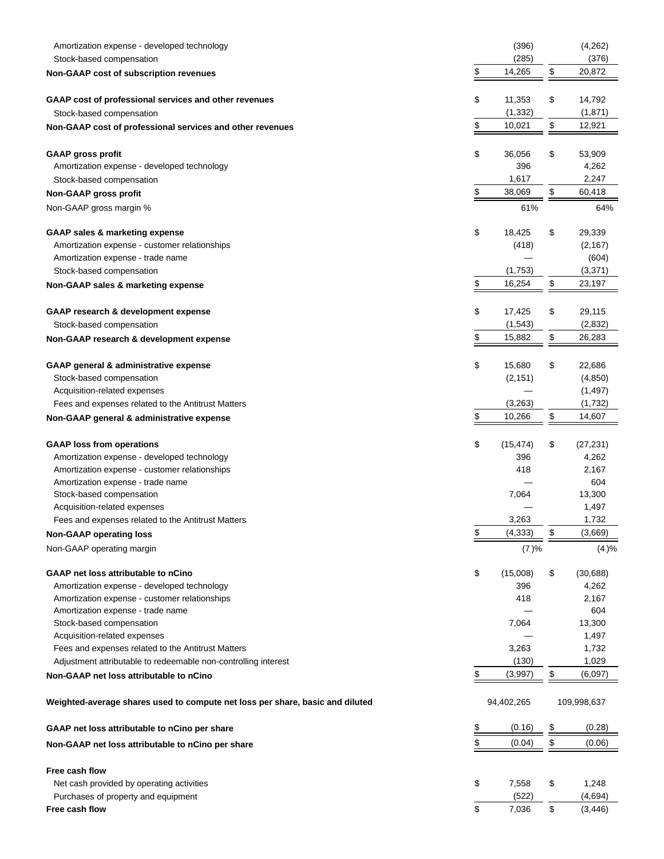| Amortization expense - developed technology                                      | (396)           |               | (4,262)     |
|----------------------------------------------------------------------------------|-----------------|---------------|-------------|
| Stock-based compensation                                                         | (285)           |               | (376)       |
| <b>Non-GAAP cost of subscription revenues</b>                                    | \$<br>14,265    | $\frac{1}{2}$ | 20,872      |
| GAAP cost of professional services and other revenues                            | \$<br>11,353    | \$            | 14,792      |
| Stock-based compensation                                                         | (1, 332)        |               | (1,871)     |
| Non-GAAP cost of professional services and other revenues                        | \$<br>10,021    | \$            | 12,921      |
|                                                                                  | \$<br>36,056    |               | 53,909      |
| <b>GAAP gross profit</b><br>Amortization expense - developed technology          | 396             | \$            | 4,262       |
| Stock-based compensation                                                         | 1,617           |               | 2,247       |
| Non-GAAP gross profit                                                            | \$<br>38,069    | \$            | 60,418      |
|                                                                                  | 61%             |               |             |
| Non-GAAP gross margin %                                                          |                 |               | 64%         |
| GAAP sales & marketing expense                                                   | \$<br>18,425    | \$            | 29,339      |
| Amortization expense - customer relationships                                    | (418)           |               | (2, 167)    |
| Amortization expense - trade name                                                |                 |               | (604)       |
| Stock-based compensation                                                         | (1,753)         |               | (3,371)     |
| Non-GAAP sales & marketing expense                                               | \$<br>16,254    | \$            | 23,197      |
| GAAP research & development expense                                              | \$<br>17,425    | \$            | 29,115      |
| Stock-based compensation                                                         | (1, 543)        |               | (2,832)     |
| Non-GAAP research & development expense                                          | \$<br>15,882    | \$            | 26,283      |
| GAAP general & administrative expense                                            | \$<br>15,680    | \$            | 22,686      |
| Stock-based compensation                                                         | (2, 151)        |               | (4, 850)    |
| Acquisition-related expenses                                                     |                 |               | (1, 497)    |
| Fees and expenses related to the Antitrust Matters                               | (3,263)         |               | (1,732)     |
| Non-GAAP general & administrative expense                                        | \$<br>10,266    | \$            | 14,607      |
|                                                                                  |                 |               |             |
| <b>GAAP loss from operations</b>                                                 | \$<br>(15, 474) | \$            | (27, 231)   |
| Amortization expense - developed technology                                      | 396             |               | 4,262       |
| Amortization expense - customer relationships                                    | 418             |               | 2,167       |
| Amortization expense - trade name                                                |                 |               | 604         |
| Stock-based compensation                                                         | 7,064           |               | 13,300      |
| Acquisition-related expenses                                                     |                 |               | 1,497       |
| Fees and expenses related to the Antitrust Matters                               | 3,263           |               | 1,732       |
| <b>Non-GAAP operating loss</b>                                                   | \$<br>(4, 333)  | \$            | (3,669)     |
| Non-GAAP operating margin                                                        | (7)%            |               | (4)%        |
| GAAP net loss attributable to nCino                                              | \$<br>(15,008)  | \$            | (30, 688)   |
| Amortization expense - developed technology                                      | 396             |               | 4,262       |
| Amortization expense - customer relationships                                    | 418             |               | 2,167       |
| Amortization expense - trade name                                                |                 |               | 604         |
| Stock-based compensation                                                         | 7,064           |               | 13,300      |
| Acquisition-related expenses                                                     |                 |               | 1,497       |
| Fees and expenses related to the Antitrust Matters                               | 3,263           |               | 1,732       |
| Adjustment attributable to redeemable non-controlling interest                   | (130)           |               | 1,029       |
| Non-GAAP net loss attributable to nCino                                          | \$<br>(3,997)   | $\frac{1}{2}$ | (6,097)     |
| Weighted-average shares used to compute net loss per share, basic and diluted    | 94,402,265      |               | 109,998,637 |
| GAAP net loss attributable to nCino per share                                    | \$<br>(0.16)    | $\frac{1}{2}$ | (0.28)      |
| Non-GAAP net loss attributable to nCino per share                                | \$<br>(0.04)    | $\frac{1}{2}$ | (0.06)      |
|                                                                                  |                 |               |             |
| Free cash flow                                                                   | \$<br>7,558     |               | 1,248       |
| Net cash provided by operating activities<br>Purchases of property and equipment | (522)           | \$            | (4,694)     |
| Free cash flow                                                                   | \$<br>7,036     | \$            | (3, 446)    |
|                                                                                  |                 |               |             |